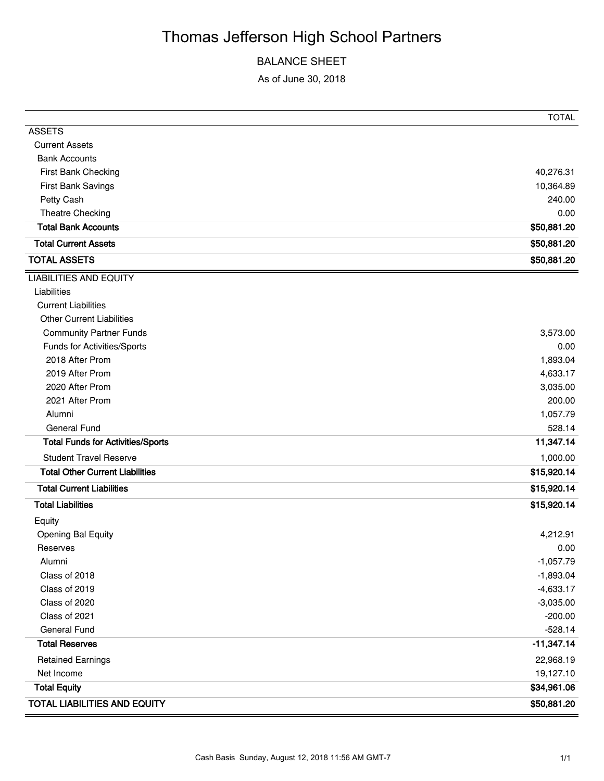# Thomas Jefferson High School Partners

### BALANCE SHEET

As of June 30, 2018

|                                          | <b>TOTAL</b> |
|------------------------------------------|--------------|
| <b>ASSETS</b>                            |              |
| <b>Current Assets</b>                    |              |
| <b>Bank Accounts</b>                     |              |
| First Bank Checking                      | 40,276.31    |
| First Bank Savings                       | 10,364.89    |
| Petty Cash                               | 240.00       |
| Theatre Checking                         | 0.00         |
| <b>Total Bank Accounts</b>               | \$50,881.20  |
| <b>Total Current Assets</b>              | \$50,881.20  |
| <b>TOTAL ASSETS</b>                      | \$50,881.20  |
| <b>LIABILITIES AND EQUITY</b>            |              |
| Liabilities                              |              |
| <b>Current Liabilities</b>               |              |
| <b>Other Current Liabilities</b>         |              |
| <b>Community Partner Funds</b>           | 3,573.00     |
| Funds for Activities/Sports              | 0.00         |
| 2018 After Prom                          | 1,893.04     |
| 2019 After Prom                          | 4,633.17     |
| 2020 After Prom                          | 3,035.00     |
| 2021 After Prom                          | 200.00       |
| Alumni                                   | 1,057.79     |
| <b>General Fund</b>                      | 528.14       |
| <b>Total Funds for Activities/Sports</b> | 11,347.14    |
| <b>Student Travel Reserve</b>            | 1,000.00     |
| <b>Total Other Current Liabilities</b>   | \$15,920.14  |
| <b>Total Current Liabilities</b>         | \$15,920.14  |
| <b>Total Liabilities</b>                 | \$15,920.14  |
| Equity                                   |              |
| Opening Bal Equity                       | 4,212.91     |
| Reserves                                 | 0.00         |
| Alumni                                   | $-1,057.79$  |
| Class of 2018                            | $-1,893.04$  |
| Class of 2019                            | $-4,633.17$  |
| Class of 2020                            | $-3,035.00$  |
| Class of 2021                            | $-200.00$    |
| <b>General Fund</b>                      | $-528.14$    |
| <b>Total Reserves</b>                    | $-11,347.14$ |
| <b>Retained Earnings</b>                 | 22,968.19    |
| Net Income                               | 19,127.10    |
| <b>Total Equity</b>                      | \$34,961.06  |
| <b>TOTAL LIABILITIES AND EQUITY</b>      | \$50,881.20  |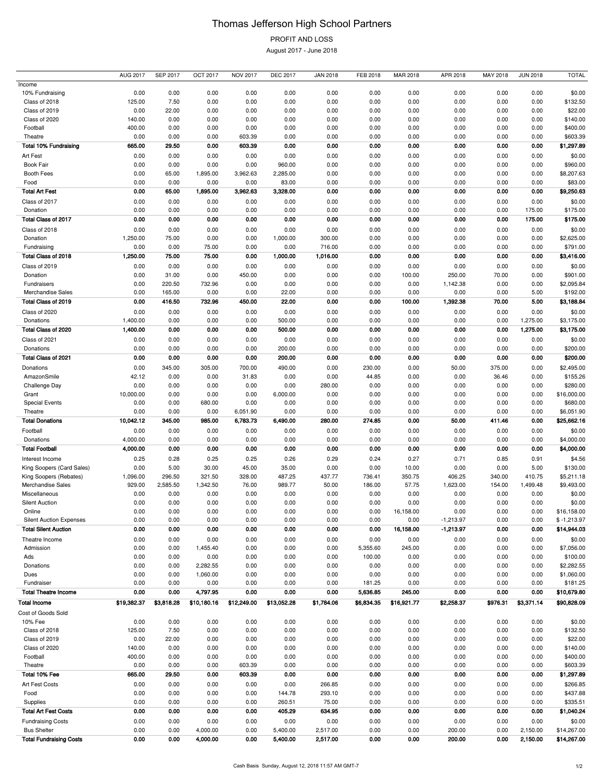# Thomas Jefferson High School Partners

PROFIT AND LOSS

August 2017 - June 2018

|                                | <b>AUG 2017</b> | <b>SEP 2017</b> | <b>OCT 2017</b> | <b>NOV 2017</b> | <b>DEC 2017</b> | <b>JAN 2018</b> | FEB 2018   | MAR 2018    | APR 2018    | MAY 2018 | <b>JUN 2018</b> | <b>TOTAL</b>  |
|--------------------------------|-----------------|-----------------|-----------------|-----------------|-----------------|-----------------|------------|-------------|-------------|----------|-----------------|---------------|
| Income                         |                 |                 |                 |                 |                 |                 |            |             |             |          |                 |               |
| 10% Fundraising                | 0.00            | 0.00            | 0.00            | 0.00            | 0.00            | 0.00            | 0.00       | 0.00        | 0.00        | 0.00     | 0.00            | \$0.00        |
| Class of 2018                  | 125.00          | 7.50            | 0.00            | 0.00            | 0.00            | 0.00            | 0.00       | 0.00        | 0.00        | 0.00     | 0.00            | \$132.50      |
| Class of 2019                  | 0.00            | 22.00           | 0.00            | 0.00            | 0.00            | 0.00            | 0.00       | 0.00        | 0.00        | 0.00     | 0.00            | \$22.00       |
| Class of 2020                  | 140.00          | 0.00            | 0.00            | 0.00            | 0.00            | 0.00            | 0.00       | 0.00        | 0.00        | 0.00     | 0.00            | \$140.00      |
| Football                       | 400.00          | 0.00            | 0.00            | 0.00            | 0.00            | 0.00            | 0.00       | 0.00        | 0.00        | 0.00     | 0.00            | \$400.00      |
| Theatre                        | 0.00            | 0.00            | 0.00            | 603.39          | 0.00            | 0.00            | 0.00       | 0.00        | 0.00        | 0.00     | 0.00            | \$603.39      |
| <b>Total 10% Fundraising</b>   | 665.00          | 29.50           | 0.00            | 603.39          | 0.00            | 0.00            | 0.00       | 0.00        | 0.00        | 0.00     | 0.00            | \$1,297.89    |
|                                |                 |                 |                 |                 |                 |                 |            |             |             |          |                 |               |
| Art Fest                       | 0.00            | 0.00            | 0.00            | 0.00            | 0.00            | 0.00            | 0.00       | 0.00        | 0.00        | 0.00     | 0.00            | \$0.00        |
| <b>Book Fair</b>               | 0.00            | 0.00            | 0.00            | 0.00            | 960.00          | 0.00            | 0.00       | 0.00        | 0.00        | 0.00     | 0.00            | \$960.00      |
| Booth Fees                     | 0.00            | 65.00           | 1,895.00        | 3,962.63        | 2,285.00        | 0.00            | 0.00       | 0.00        | 0.00        | 0.00     | 0.00            | \$8,207.63    |
| Food                           | 0.00            | 0.00            | 0.00            | 0.00            | 83.00           | 0.00            | 0.00       | 0.00        | 0.00        | 0.00     | 0.00            | \$83.00       |
| <b>Total Art Fest</b>          | 0.00            | 65.00           | 1,895.00        | 3,962.63        | 3,328.00        | 0.00            | 0.00       | 0.00        | 0.00        | 0.00     | 0.00            | \$9,250.63    |
| Class of 2017                  | 0.00            | 0.00            | 0.00            | 0.00            | 0.00            | 0.00            | 0.00       | 0.00        | 0.00        | 0.00     | 0.00            | \$0.00        |
| Donation                       | 0.00            | 0.00            | 0.00            | 0.00            | 0.00            | 0.00            | 0.00       | 0.00        | 0.00        | 0.00     | 175.00          | \$175.00      |
| Total Class of 2017            | 0.00            | 0.00            | 0.00            | 0.00            | 0.00            | 0.00            | 0.00       | 0.00        | 0.00        | 0.00     | 175.00          | \$175.00      |
| Class of 2018                  | 0.00            | 0.00            | 0.00            | 0.00            | 0.00            | 0.00            | 0.00       | 0.00        | 0.00        | 0.00     | 0.00            | \$0.00        |
|                                |                 |                 |                 |                 |                 |                 |            |             |             |          |                 |               |
| Donation                       | 1,250.00        | 75.00           | 0.00            | 0.00            | 1,000.00        | 300.00          | 0.00       | 0.00        | 0.00        | 0.00     | 0.00            | \$2,625.00    |
| Fundraising                    | 0.00            | 0.00            | 75.00           | 0.00            | 0.00            | 716.00          | 0.00       | 0.00        | 0.00        | 0.00     | 0.00            | \$791.00      |
| Total Class of 2018            | 1,250.00        | 75.00           | 75.00           | 0.00            | 1,000.00        | 1,016.00        | 0.00       | 0.00        | 0.00        | 0.00     | 0.00            | \$3,416.00    |
| Class of 2019                  | 0.00            | 0.00            | 0.00            | 0.00            | 0.00            | 0.00            | 0.00       | 0.00        | 0.00        | 0.00     | 0.00            | \$0.00        |
| Donation                       | 0.00            | 31.00           | 0.00            | 450.00          | 0.00            | 0.00            | 0.00       | 100.00      | 250.00      | 70.00    | 0.00            | \$901.00      |
| Fundraisers                    | 0.00            | 220.50          | 732.96          | 0.00            | 0.00            | 0.00            | 0.00       | 0.00        | 1,142.38    | 0.00     | 0.00            | \$2,095.84    |
| Merchandise Sales              | 0.00            | 165.00          | 0.00            | 0.00            | 22.00           | 0.00            | 0.00       | 0.00        | 0.00        | 0.00     | 5.00            | \$192.00      |
| Total Class of 2019            | 0.00            | 416.50          | 732.96          | 450.00          | 22.00           | 0.00            | 0.00       | 100.00      | 1,392.38    | 70.00    | 5.00            | \$3,188.84    |
| Class of 2020                  | 0.00            | 0.00            | 0.00            | 0.00            | 0.00            | 0.00            | 0.00       | 0.00        | 0.00        | 0.00     | 0.00            | \$0.00        |
| Donations                      | 1,400.00        | 0.00            | 0.00            | 0.00            | 500.00          | 0.00            | 0.00       | 0.00        | 0.00        | 0.00     | 1,275.00        | \$3,175.00    |
| Total Class of 2020            | 1,400.00        | 0.00            | 0.00            | 0.00            | 500.00          | 0.00            | 0.00       | 0.00        | 0.00        | 0.00     | 1,275.00        | \$3,175.00    |
|                                |                 |                 |                 |                 |                 |                 |            |             |             |          |                 |               |
| Class of 2021                  | 0.00            | 0.00            | 0.00            | 0.00            | 0.00            | 0.00            | 0.00       | 0.00        | 0.00        | 0.00     | 0.00            | \$0.00        |
| Donations                      | 0.00            | 0.00            | 0.00            | 0.00            | 200.00          | 0.00            | 0.00       | 0.00        | 0.00        | 0.00     | 0.00            | \$200.00      |
| Total Class of 2021            | 0.00            | 0.00            | 0.00            | 0.00            | 200.00          | 0.00            | 0.00       | 0.00        | 0.00        | 0.00     | 0.00            | \$200.00      |
| Donations                      | 0.00            | 345.00          | 305.00          | 700.00          | 490.00          | 0.00            | 230.00     | 0.00        | 50.00       | 375.00   | 0.00            | \$2,495.00    |
| AmazonSmile                    | 42.12           | 0.00            | 0.00            | 31.83           | 0.00            | 0.00            | 44.85      | 0.00        | 0.00        | 36.46    | 0.00            | \$155.26      |
| Challenge Day                  | 0.00            | 0.00            | 0.00            | 0.00            | 0.00            | 280.00          | 0.00       | 0.00        | 0.00        | 0.00     | 0.00            | \$280.00      |
| Grant                          | 10,000.00       | 0.00            | 0.00            | 0.00            | 6,000.00        | 0.00            | 0.00       | 0.00        | 0.00        | 0.00     | 0.00            | \$16,000.00   |
| <b>Special Events</b>          | 0.00            | 0.00            | 680.00          | 0.00            | 0.00            | 0.00            | 0.00       | 0.00        | 0.00        | 0.00     | 0.00            | \$680.00      |
|                                | 0.00            |                 |                 |                 | 0.00            | 0.00            | 0.00       | 0.00        | 0.00        | 0.00     | 0.00            | \$6,051.90    |
|                                |                 |                 |                 |                 |                 |                 |            |             |             |          |                 |               |
| Theatre                        |                 | 0.00            | 0.00            | 6,051.90        |                 |                 |            |             |             |          |                 |               |
| <b>Total Donations</b>         | 10,042.12       | 345.00          | 985.00          | 6,783.73        | 6,490.00        | 280.00          | 274.85     | 0.00        | 50.00       | 411.46   | 0.00            | \$25,662.16   |
| Football                       | 0.00            | 0.00            | 0.00            | 0.00            | 0.00            | 0.00            | 0.00       | 0.00        | 0.00        | 0.00     | 0.00            | \$0.00        |
| Donations                      | 4,000.00        | 0.00            | 0.00            | 0.00            | 0.00            | 0.00            | 0.00       | 0.00        | 0.00        | 0.00     | 0.00            | \$4,000.00    |
| <b>Total Football</b>          | 4,000.00        | 0.00            | 0.00            | 0.00            | 0.00            | 0.00            | 0.00       | 0.00        | 0.00        | 0.00     | 0.00            | \$4,000.00    |
| Interest Income                | 0.25            | 0.28            | 0.25            | 0.25            | 0.26            | 0.29            | 0.24       | 0.27        | 0.71        | 0.85     | 0.91            | \$4.56        |
| King Soopers (Card Sales)      | 0.00            | 5.00            | 30.00           | 45.00           | 35.00           | 0.00            | 0.00       | 10.00       | 0.00        | 0.00     | 5.00            | \$130.00      |
| King Soopers (Rebates)         | 1,096.00        | 296.50          | 321.50          | 328.00          | 487.25          | 437.77          | 736.41     | 350.75      | 406.25      | 340.00   | 410.75          | \$5,211.18    |
| Merchandise Sales              | 929.00          | 2,585.50        | 1,342.50        | 76.00           | 989.77          | 50.00           | 186.00     | 57.75       | 1,623.00    | 154.00   | 1,499.48        | \$9,493.00    |
| Miscellaneous                  | 0.00            | 0.00            | 0.00            | 0.00            | 0.00            | 0.00            | 0.00       | 0.00        | 0.00        | 0.00     | 0.00            | \$0.00        |
| <b>Silent Auction</b>          | 0.00            | 0.00            | 0.00            | 0.00            | 0.00            | 0.00            | 0.00       | 0.00        | 0.00        | 0.00     | 0.00            | \$0.00        |
| Online                         | 0.00            | 0.00            | 0.00            | 0.00            | 0.00            | 0.00            | 0.00       | 16,158.00   | 0.00        | 0.00     | 0.00            | \$16,158.00   |
| <b>Silent Auction Expenses</b> | 0.00            | 0.00            | 0.00            | 0.00            | 0.00            | 0.00            | 0.00       | 0.00        | $-1,213.97$ | 0.00     | 0.00            | $$ -1,213.97$ |
| <b>Total Silent Auction</b>    | 0.00            | 0.00            | 0.00            | 0.00            | 0.00            | 0.00            | 0.00       | 16,158.00   | $-1,213.97$ | 0.00     | 0.00            | \$14,944.03   |
| Theatre Income                 |                 |                 |                 |                 |                 |                 |            |             |             |          |                 |               |
|                                | 0.00            | 0.00            | 0.00            | 0.00            | 0.00            | 0.00            | 0.00       | 0.00        | 0.00        | 0.00     | 0.00            | \$0.00        |
| Admission                      | 0.00            | 0.00            | 1,455.40        | 0.00            | 0.00            | 0.00            | 5,355.60   | 245.00      | 0.00        | 0.00     | 0.00            | \$7,056.00    |
| Ads                            | 0.00            | 0.00            | 0.00            | 0.00            | 0.00            | 0.00            | 100.00     | 0.00        | 0.00        | 0.00     | 0.00            | \$100.00      |
| Donations                      | 0.00            | 0.00            | 2,282.55        | 0.00            | 0.00            | 0.00            | 0.00       | 0.00        | 0.00        | 0.00     | 0.00            | \$2,282.55    |
| Dues                           | 0.00            | 0.00            | 1,060.00        | 0.00            | 0.00            | 0.00            | 0.00       | 0.00        | 0.00        | 0.00     | 0.00            | \$1,060.00    |
| Fundraiser                     | 0.00            | 0.00            | 0.00            | 0.00            | 0.00            | 0.00            | 181.25     | 0.00        | 0.00        | 0.00     | 0.00            | \$181.25      |
| <b>Total Theatre Income</b>    | 0.00            | 0.00            | 4,797.95        | 0.00            | 0.00            | 0.00            | 5,636.85   | 245.00      | 0.00        | 0.00     | 0.00            | \$10,679.80   |
| <b>Total Income</b>            | \$19,382.37     | \$3,818.28      | \$10,180.16     | \$12,249.00     | \$13,052.28     | \$1,784.06      | \$6,834.35 | \$16,921.77 | \$2,258.37  | \$976.31 | \$3,371.14      | \$90,828.09   |
| Cost of Goods Sold             |                 |                 |                 |                 |                 |                 |            |             |             |          |                 |               |
| 10% Fee                        | 0.00            | 0.00            | 0.00            | 0.00            | 0.00            | 0.00            | 0.00       | 0.00        | 0.00        | 0.00     | 0.00            | \$0.00        |
| Class of 2018                  | 125.00          | 7.50            | 0.00            | 0.00            | 0.00            | 0.00            | 0.00       | 0.00        | 0.00        | 0.00     | 0.00            | \$132.50      |
| Class of 2019                  | 0.00            | 22.00           | 0.00            | 0.00            | 0.00            | 0.00            | 0.00       | 0.00        | 0.00        | 0.00     | 0.00            | \$22.00       |
| Class of 2020                  |                 |                 |                 |                 |                 |                 |            |             |             | 0.00     |                 |               |
|                                | 140.00          | 0.00            | 0.00            | 0.00            | 0.00            | 0.00            | 0.00       | 0.00        | 0.00        |          | 0.00            | \$140.00      |
| Football                       | 400.00          | 0.00            | 0.00            | 0.00            | 0.00            | 0.00            | 0.00       | 0.00        | 0.00        | 0.00     | 0.00            | \$400.00      |
| Theatre                        | 0.00            | 0.00            | 0.00            | 603.39          | 0.00            | 0.00            | 0.00       | 0.00        | 0.00        | 0.00     | 0.00            | \$603.39      |
| Total 10% Fee                  | 665.00          | 29.50           | 0.00            | 603.39          | 0.00            | 0.00            | 0.00       | 0.00        | 0.00        | 0.00     | 0.00            | \$1,297.89    |
| Art Fest Costs                 | 0.00            | 0.00            | 0.00            | 0.00            | 0.00            | 266.85          | 0.00       | 0.00        | 0.00        | 0.00     | 0.00            | \$266.85      |
| Food                           | 0.00            | 0.00            | 0.00            | 0.00            | 144.78          | 293.10          | 0.00       | 0.00        | 0.00        | 0.00     | 0.00            | \$437.88      |
| Supplies                       | 0.00            | 0.00            | 0.00            | 0.00            | 260.51          | 75.00           | 0.00       | 0.00        | 0.00        | 0.00     | 0.00            | \$335.51      |
| <b>Total Art Fest Costs</b>    | 0.00            | 0.00            | 0.00            | 0.00            | 405.29          | 634.95          | 0.00       | 0.00        | 0.00        | 0.00     | 0.00            | \$1,040.24    |
| <b>Fundraising Costs</b>       | 0.00            | 0.00            | 0.00            | 0.00            | 0.00            | 0.00            | 0.00       | 0.00        | 0.00        | 0.00     | 0.00            | \$0.00        |
| <b>Bus Shelter</b>             | 0.00            | 0.00            | 4,000.00        | 0.00            | 5,400.00        | 2,517.00        | 0.00       | 0.00        | 200.00      | 0.00     | 2,150.00        | \$14,267.00   |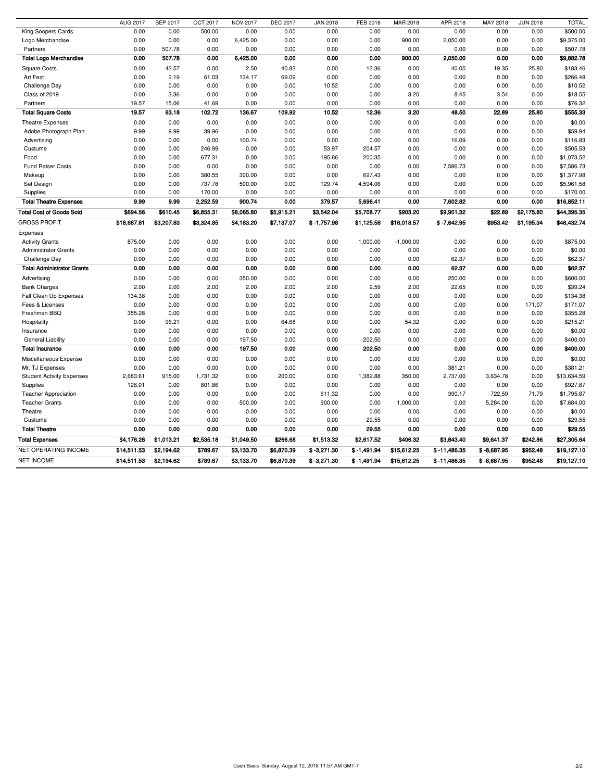|                                   | <b>AUG 2017</b> | <b>SEP 2017</b> | <b>OCT 2017</b> | <b>NOV 2017</b> | <b>DEC 2017</b> | <b>JAN 2018</b> | FEB 2018      | <b>MAR 2018</b> | APR 2018       | MAY 2018      | <b>JUN 2018</b> | <b>TOTAL</b> |
|-----------------------------------|-----------------|-----------------|-----------------|-----------------|-----------------|-----------------|---------------|-----------------|----------------|---------------|-----------------|--------------|
| King Soopers Cards                | 0.00            | 0.00            | 500.00          | 0.00            | 0.00            | 0.00            | 0.00          | 0.00            | 0.00           | 0.00          | 0.00            | \$500.00     |
| Logo Merchandise                  | 0.00            | 0.00            | 0.00            | 6,425.00        | 0.00            | 0.00            | 0.00          | 900.00          | 2,050.00       | 0.00          | 0.00            | \$9,375.00   |
| Partners                          | 0.00            | 507.78          | 0.00            | 0.00            | 0.00            | 0.00            | 0.00          | 0.00            | 0.00           | 0.00          | 0.00            | \$507.78     |
| <b>Total Logo Merchandise</b>     | 0.00            | 507.78          | 0.00            | 6,425.00        | 0.00            | 0.00            | 0.00          | 900.00          | 2,050.00       | 0.00          | 0.00            | \$9,882.78   |
| <b>Square Costs</b>               | 0.00            | 42.57           | 0.00            | 2.50            | 40.83           | 0.00            | 12.36         | 0.00            | 40.05          | 19.35         | 25.80           | \$183.46     |
| Art Fest                          | 0.00            | 2.19            | 61.03           | 134.17          | 69.09           | 0.00            | 0.00          | 0.00            | 0.00           | 0.00          | 0.00            | \$266.48     |
| Challenge Day                     | 0.00            | 0.00            | 0.00            | 0.00            | 0.00            | 10.52           | 0.00          | 0.00            | 0.00           | 0.00          | 0.00            | \$10.52      |
| Class of 2019                     | 0.00            | 3.36            | 0.00            | 0.00            | 0.00            | 0.00            | 0.00          | 3.20            | 8.45           | 3.54          | 0.00            | \$18.55      |
| Partners                          | 19.57           | 15.06           | 41.69           | 0.00            | 0.00            | 0.00            | 0.00          | 0.00            | 0.00           | 0.00          | 0.00            | \$76.32      |
| <b>Total Square Costs</b>         | 19.57           | 63.18           | 102.72          | 136.67          | 109.92          | 10.52           | 12.36         | 3.20            | 48.50          | 22.89         | 25.80           | \$555.33     |
| <b>Theatre Expenses</b>           | 0.00            | 0.00            | 0.00            | 0.00            | 0.00            | 0.00            | 0.00          | 0.00            | 0.00           | 0.00          | 0.00            | \$0.00       |
| Adobe Photograph Plan             | 9.99            | 9.99            | 39.96           | 0.00            | 0.00            | 0.00            | 0.00          | 0.00            | 0.00           | 0.00          | 0.00            | \$59.94      |
| Advertising                       | 0.00            | 0.00            | 0.00            | 100.74          | 0.00            | 0.00            | 0.00          | 0.00            | 16.09          | 0.00          | 0.00            | \$116.83     |
| Custume                           | 0.00            | 0.00            | 246.99          | 0.00            | 0.00            | 53.97           | 204.57        | 0.00            | 0.00           | 0.00          | 0.00            | \$505.53     |
| Food                              | 0.00            | 0.00            | 677.31          | 0.00            | 0.00            | 195.86          | 200.35        | 0.00            | 0.00           | 0.00          | 0.00            | \$1,073.52   |
| <b>Fund Raiser Costs</b>          | 0.00            | 0.00            | 0.00            | 0.00            | 0.00            | 0.00            | 0.00          | 0.00            | 7,586.73       | 0.00          | 0.00            | \$7,586.73   |
| Makeup                            | 0.00            | 0.00            | 380.55          | 300.00          | 0.00            | 0.00            | 697.43        | 0.00            | 0.00           | 0.00          | 0.00            | \$1,377.98   |
| Set Design                        | 0.00            | 0.00            | 737.78          | 500.00          | 0.00            | 129.74          | 4,594.06      | 0.00            | 0.00           | 0.00          | 0.00            | \$5,961.58   |
| Supplies                          | 0.00            | 0.00            | 170.00          | 0.00            | 0.00            | 0.00            | 0.00          | 0.00            | 0.00           | 0.00          | 0.00            | \$170.00     |
| <b>Total Theatre Expenses</b>     | 9.99            | 9.99            | 2,252.59        | 900.74          | 0.00            | 379.57          | 5,696.41      | 0.00            | 7,602.82       | 0.00          | 0.00            | \$16,852.11  |
| <b>Total Cost of Goods Sold</b>   | \$694.56        | \$610.45        | \$6,855.31      | \$8,065.80      | \$5,915.21      | \$3,542.04      | \$5,708.77    | \$903.20        | \$9,901.32     | \$22.89       | \$2,175.80      | \$44,395.35  |
| <b>GROSS PROFIT</b>               | \$18,687.81     | \$3,207.83      | \$3,324.85      | \$4,183.20      | \$7,137.07      | $$ -1,757.98$   | \$1,125.58    | \$16,018.57     | $$ -7,642.95$  | \$953.42      | \$1,195.34      | \$46,432.74  |
| Expenses                          |                 |                 |                 |                 |                 |                 |               |                 |                |               |                 |              |
| <b>Activity Grants</b>            | 875.00          | 0.00            | 0.00            | 0.00            | 0.00            | 0.00            | 1,000.00      | $-1,000.00$     | 0.00           | 0.00          | 0.00            | \$875.00     |
| <b>Administrator Grants</b>       | 0.00            | 0.00            | 0.00            | 0.00            | 0.00            | 0.00            | 0.00          | 0.00            | 0.00           | 0.00          | 0.00            | \$0.00       |
| Challenge Day                     | 0.00            | 0.00            | 0.00            | 0.00            | 0.00            | 0.00            | 0.00          | 0.00            | 62.37          | 0.00          | 0.00            | \$62.37      |
| <b>Total Administrator Grants</b> | 0.00            | 0.00            | 0.00            | 0.00            | 0.00            | 0.00            | 0.00          | 0.00            | 62.37          | 0.00          | 0.00            | \$62.37      |
|                                   |                 |                 |                 |                 |                 |                 |               |                 |                |               |                 |              |
| Advertising                       | 0.00            | 0.00            | 0.00            | 350.00          | 0.00            | 0.00            | 0.00          | 0.00            | 250.00         | 0.00          | 0.00            | \$600.00     |
| <b>Bank Charges</b>               | 2.00            | 2.00            | 2.00            | 2.00            | 2.00            | 2.00            | 2.59          | 2.00            | 22.65          | 0.00          | 0.00            | \$39.24      |
| Fall Clean Up Expenses            | 134.38          | 0.00            | 0.00            | 0.00            | 0.00            | 0.00            | 0.00          | 0.00            | 0.00           | 0.00          | 0.00            | \$134.38     |
| Fees & Licenses                   | 0.00            | 0.00            | 0.00            | 0.00            | 0.00            | 0.00            | 0.00          | 0.00            | 0.00           | 0.00          | 171.07          | \$171.07     |
| Freshman BBQ                      | 355.28          | 0.00            | 0.00            | 0.00            | 0.00            | 0.00            | 0.00          | 0.00            | 0.00           | 0.00          | 0.00            | \$355.28     |
| Hospitality                       | 0.00            | 96.21           | 0.00            | 0.00            | 64.68           | 0.00            | 0.00          | 54.32           | 0.00           | 0.00          | 0.00            | \$215.21     |
| Insurance                         | 0.00            | 0.00            | 0.00            | 0.00            | 0.00            | 0.00            | 0.00          | 0.00            | 0.00           | 0.00          | 0.00            | \$0.00       |
| <b>General Liability</b>          | 0.00            | 0.00            | 0.00            | 197.50          | 0.00            | 0.00            | 202.50        | 0.00            | 0.00           | 0.00          | 0.00            | \$400.00     |
| <b>Total Insurance</b>            | 0.00            | 0.00            | 0.00            | 197.50          | 0.00            | 0.00            | 202.50        | 0.00            | 0.00           | 0.00          | 0.00            | \$400.00     |
| Miscellaneous Expense             | 0.00            | 0.00            | 0.00            | 0.00            | 0.00            | 0.00            | 0.00          | 0.00            | 0.00           | 0.00          | 0.00            | \$0.00       |
| Mr. TJ Expenses                   | 0.00            | 0.00            | 0.00            | 0.00            | 0.00            | 0.00            | 0.00          | 0.00            | 381.21         | 0.00          | 0.00            | \$381.21     |
| <b>Student Activity Expenses</b>  | 2,683.61        | 915.00          | 1,731.32        | 0.00            | 200.00          | 0.00            | 1,382.88      | 350.00          | 2,737.00       | 3,634.78      | 0.00            | \$13,634.59  |
| Supplies                          | 126.01          | 0.00            | 801.86          | 0.00            | 0.00            | 0.00            | 0.00          | 0.00            | 0.00           | 0.00          | 0.00            | \$927.87     |
| <b>Teacher Appreciation</b>       | 0.00            | 0.00            | 0.00            | 0.00            | 0.00            | 611.32          | 0.00          | 0.00            | 390.17         | 722.59        | 71.79           | \$1,795.87   |
| <b>Teacher Grants</b>             | 0.00            | 0.00            | 0.00            | 500.00          | 0.00            | 900.00          | 0.00          | 1,000.00        | 0.00           | 5,284.00      | 0.00            | \$7,684.00   |
| Theatre                           | 0.00            | 0.00            | 0.00            | 0.00            | 0.00            | 0.00            | 0.00          | 0.00            | 0.00           | 0.00          | 0.00            | \$0.00       |
| Custume                           | 0.00            | 0.00            | 0.00            | 0.00            | 0.00            | 0.00            | 29.55         | 0.00            | 0.00           | 0.00          | 0.00            | \$29.55      |
| <b>Total Theatre</b>              | 0.00            | 0.00            | 0.00            | 0.00            | 0.00            | 0.00            | 29.55         | 0.00            | 0.00           | 0.00          | 0.00            | \$29.55      |
| <b>Total Expenses</b>             | \$4,176.28      | \$1,013.21      | \$2,535.18      | \$1,049.50      | \$266.68        | \$1,513.32      | \$2,617.52    | \$406.32        | \$3,843.40     | \$9,641.37    | \$242.86        | \$27,305.64  |
| <b>NET OPERATING INCOME</b>       | \$14,511.53     | \$2,194.62      | \$789.67        | \$3,133.70      | \$6,870.39      | $$ -3,271.30$   | $$ -1,491.94$ | \$15,612.25     | $$ -11,486.35$ | $$ -8,687.95$ | \$952.48        | \$19,127.10  |
| <b>NET INCOME</b>                 | \$14,511.53     | \$2,194.62      | \$789.67        | \$3,133.70      | \$6,870.39      | $$ -3,271.30$   | $$ -1,491.94$ | \$15,612.25     | $$ -11,486.35$ | $$ -8,687.95$ | \$952.48        | \$19,127.10  |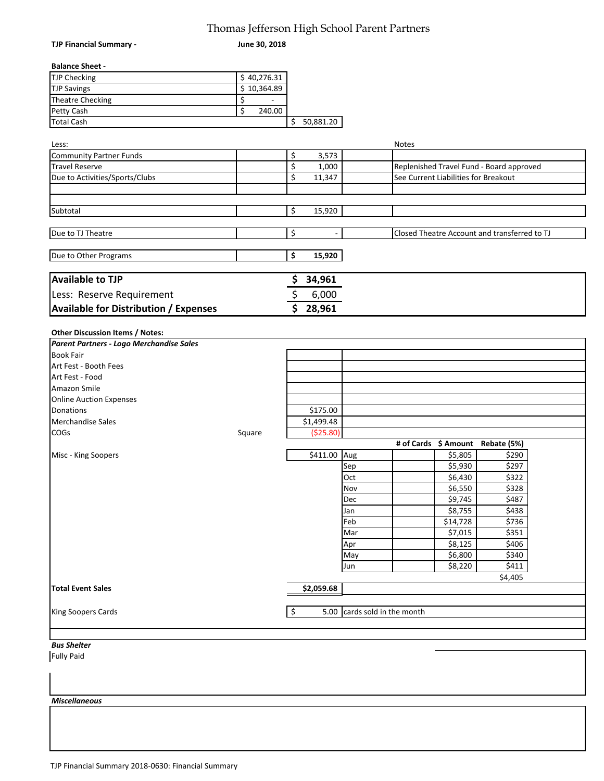## Thomas Jefferson High School Parent Partners

| TJP Financial Summary -                      | Thomas Jenerson Ingh School Farent Farthers<br>June 30, 2018 |    |             |                         |                                              |
|----------------------------------------------|--------------------------------------------------------------|----|-------------|-------------------------|----------------------------------------------|
| <b>Balance Sheet -</b>                       |                                                              |    |             |                         |                                              |
| <b>TJP Checking</b>                          | \$40,276.31                                                  |    |             |                         |                                              |
| <b>TJP Savings</b>                           | $\overline{$}10,364.89$                                      |    |             |                         |                                              |
| Theatre Checking                             | \$                                                           |    |             |                         |                                              |
| Petty Cash                                   | \$<br>240.00                                                 |    |             |                         |                                              |
| <b>Total Cash</b>                            |                                                              |    | \$50,881.20 |                         |                                              |
|                                              |                                                              |    |             |                         |                                              |
| Less:                                        |                                                              |    |             |                         | Notes                                        |
| <b>Community Partner Funds</b>               |                                                              | \$ | 3,573       |                         |                                              |
| <b>Travel Reserve</b>                        |                                                              | \$ | 1,000       |                         | Replenished Travel Fund - Board approved     |
| Due to Activities/Sports/Clubs               |                                                              | \$ | 11,347      |                         | See Current Liabilities for Breakout         |
|                                              |                                                              |    |             |                         |                                              |
| Subtotal                                     |                                                              | \$ | 15,920      |                         |                                              |
|                                              |                                                              |    |             |                         |                                              |
| Due to TJ Theatre                            |                                                              | \$ |             |                         | Closed Theatre Account and transferred to TJ |
| Due to Other Programs                        |                                                              | \$ | 15,920      |                         |                                              |
| <b>Available to TJP</b>                      |                                                              |    | 34,961      |                         |                                              |
| Less: Reserve Requirement                    |                                                              | \$ | 6,000       |                         |                                              |
| <b>Available for Distribution / Expenses</b> |                                                              | \$ | 28,961      |                         |                                              |
|                                              |                                                              |    |             |                         |                                              |
| Other Discussion Items / Notes:              |                                                              |    |             |                         |                                              |
| Parent Partners - Logo Merchandise Sales     |                                                              |    |             |                         |                                              |
| <b>Book Fair</b>                             |                                                              |    |             |                         |                                              |
| Art Fest - Booth Fees                        |                                                              |    |             |                         |                                              |
| Art Fest - Food                              |                                                              |    |             |                         |                                              |
| Amazon Smile                                 |                                                              |    |             |                         |                                              |
| <b>Online Auction Expenses</b>               |                                                              |    |             |                         |                                              |
| Donations                                    |                                                              |    | \$175.00    |                         |                                              |
| Merchandise Sales                            |                                                              |    | \$1,499.48  |                         |                                              |
| COGs                                         | Square                                                       |    | (\$25.80)   |                         |                                              |
|                                              |                                                              |    |             |                         | # of Cards \$ Amount<br>Rebate (5%)          |
| Misc - King Soopers                          |                                                              |    | \$411.00    | Aug                     | \$5,805<br>\$290                             |
|                                              |                                                              |    |             | Sep                     | \$297<br>\$5,930                             |
|                                              |                                                              |    |             | Oct                     | \$6,430<br>\$322                             |
|                                              |                                                              |    |             | Nov                     | \$6,550<br>\$328                             |
|                                              |                                                              |    |             | Dec                     | \$9,745<br>\$487                             |
|                                              |                                                              |    |             |                         |                                              |
|                                              |                                                              |    |             | Jan                     | \$8,755<br>\$438                             |
|                                              |                                                              |    |             | Feb                     | \$736<br>\$14,728                            |
|                                              |                                                              |    |             | Mar                     | \$351<br>\$7,015                             |
|                                              |                                                              |    |             | Apr                     | \$406<br>\$8,125                             |
|                                              |                                                              |    |             | May                     | \$6,800<br>\$340                             |
|                                              |                                                              |    |             | Jun                     | \$8,220<br>\$411                             |
|                                              |                                                              |    |             |                         | \$4,405                                      |
| <b>Total Event Sales</b>                     |                                                              |    | \$2,059.68  |                         |                                              |
| King Soopers Cards                           |                                                              | ٩  | 5.00        | cards sold in the month |                                              |
|                                              |                                                              |    |             |                         |                                              |
|                                              |                                                              |    |             |                         |                                              |
| <b>Bus Shelter</b>                           |                                                              |    |             |                         |                                              |
| <b>Fully Paid</b>                            |                                                              |    |             |                         |                                              |
|                                              |                                                              |    |             |                         |                                              |
|                                              |                                                              |    |             |                         |                                              |
|                                              |                                                              |    |             |                         |                                              |
| <b>Miscellaneous</b>                         |                                                              |    |             |                         |                                              |
|                                              |                                                              |    |             |                         |                                              |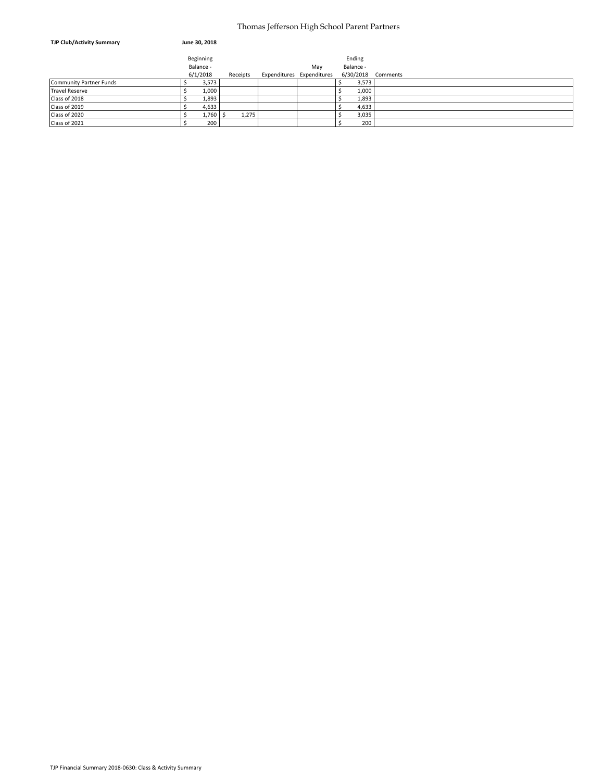#### Thomas Jefferson High School Parent Partners

| <b>TJP Club/Activity Summary</b> | June 30, 2018 |          |                           |           |                    |
|----------------------------------|---------------|----------|---------------------------|-----------|--------------------|
|                                  | Beginning     |          |                           | Ending    |                    |
|                                  | Balance -     |          | May                       | Balance - |                    |
|                                  | 6/1/2018      | Receipts | Expenditures Expenditures |           | 6/30/2018 Comments |
| Community Partner Funds          | 3,573         |          |                           | 3,573     |                    |
| <b>Travel Reserve</b>            | 1,000         |          |                           | 1,000     |                    |
| Class of 2018                    | 1,893         |          |                           | 1,893     |                    |
| Class of 2019                    | 4,633         |          |                           | 4,633     |                    |
| Class of 2020                    | 1,760         | 1,275    |                           | 3,035     |                    |
| Class of 2021                    | 200           |          |                           | 200       |                    |